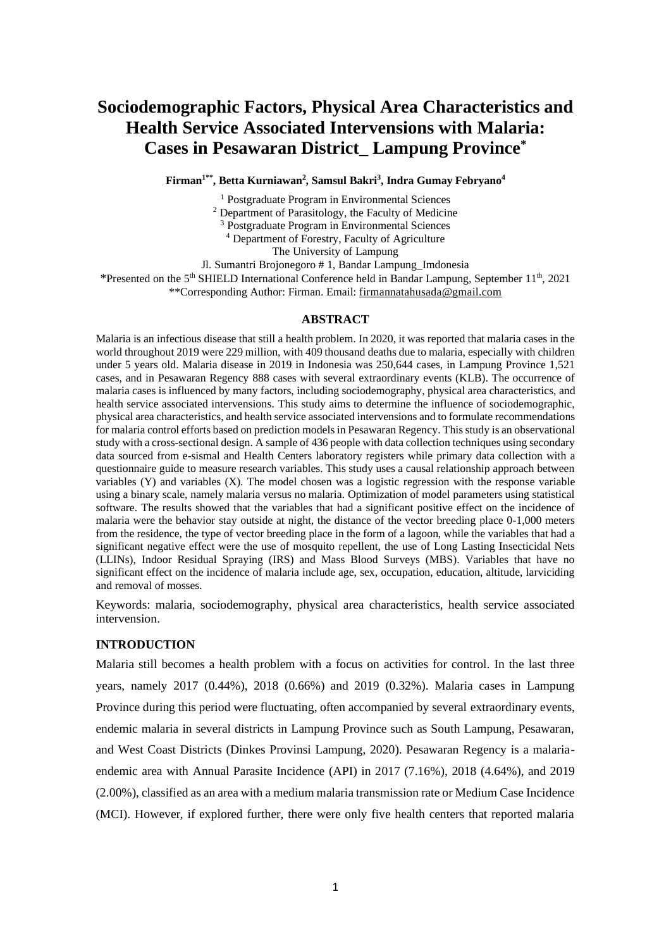# **Sociodemographic Factors, Physical Area Characteristics and Health Service Associated Intervensions with Malaria: Cases in Pesawaran District\_ Lampung Province\***

**Firman1\*\* , Betta Kurniawan<sup>2</sup> , Samsul Bakri<sup>3</sup> , Indra Gumay Febryano<sup>4</sup>**

<sup>1</sup> Postgraduate Program in Environmental Sciences <sup>2</sup> Department of Parasitology, the Faculty of Medicine <sup>3</sup> Postgraduate Program in Environmental Sciences <sup>4</sup> Department of Forestry, Faculty of Agriculture The University of Lampung Jl. Sumantri Brojonegoro # 1, Bandar Lampung\_Imdonesia \*Presented on the  $5<sup>th</sup>$  SHIELD International Conference held in Bandar Lampung, September 11<sup>th</sup>, 2021 \*\*Corresponding Author: Firman. Email[: firmannatahusada@gmail.com](mailto:firmannatahusada@gmail.com)

## **ABSTRACT**

Malaria is an infectious disease that still a health problem. In 2020, it was reported that malaria cases in the world throughout 2019 were 229 million, with 409 thousand deaths due to malaria, especially with children under 5 years old. Malaria disease in 2019 in Indonesia was 250,644 cases, in Lampung Province 1,521 cases, and in Pesawaran Regency 888 cases with several extraordinary events (KLB). The occurrence of malaria cases is influenced by many factors, including sociodemography, physical area characteristics, and health service associated intervensions. This study aims to determine the influence of sociodemographic, physical area characteristics, and health service associated intervensions and to formulate recommendations for malaria control efforts based on prediction models in Pesawaran Regency. This study is an observational study with a cross-sectional design. A sample of 436 people with data collection techniques using secondary data sourced from e-sismal and Health Centers laboratory registers while primary data collection with a questionnaire guide to measure research variables. This study uses a causal relationship approach between variables (Y) and variables (X). The model chosen was a logistic regression with the response variable using a binary scale, namely malaria versus no malaria. Optimization of model parameters using statistical software. The results showed that the variables that had a significant positive effect on the incidence of malaria were the behavior stay outside at night, the distance of the vector breeding place 0-1,000 meters from the residence, the type of vector breeding place in the form of a lagoon, while the variables that had a significant negative effect were the use of mosquito repellent, the use of Long Lasting Insecticidal Nets (LLINs), Indoor Residual Spraying (IRS) and Mass Blood Surveys (MBS). Variables that have no significant effect on the incidence of malaria include age, sex, occupation, education, altitude, larviciding and removal of mosses.

Keywords: malaria, sociodemography, physical area characteristics, health service associated intervension.

#### **INTRODUCTION**

Malaria still becomes a health problem with a focus on activities for control. In the last three years, namely 2017 (0.44%), 2018 (0.66%) and 2019 (0.32%). Malaria cases in Lampung Province during this period were fluctuating, often accompanied by several extraordinary events, endemic malaria in several districts in Lampung Province such as South Lampung, Pesawaran, and West Coast Districts (Dinkes Provinsi Lampung, 2020). Pesawaran Regency is a malariaendemic area with Annual Parasite Incidence (API) in 2017 (7.16%), 2018 (4.64%), and 2019 (2.00%), classified as an area with a medium malaria transmission rate or Medium Case Incidence (MCI). However, if explored further, there were only five health centers that reported malaria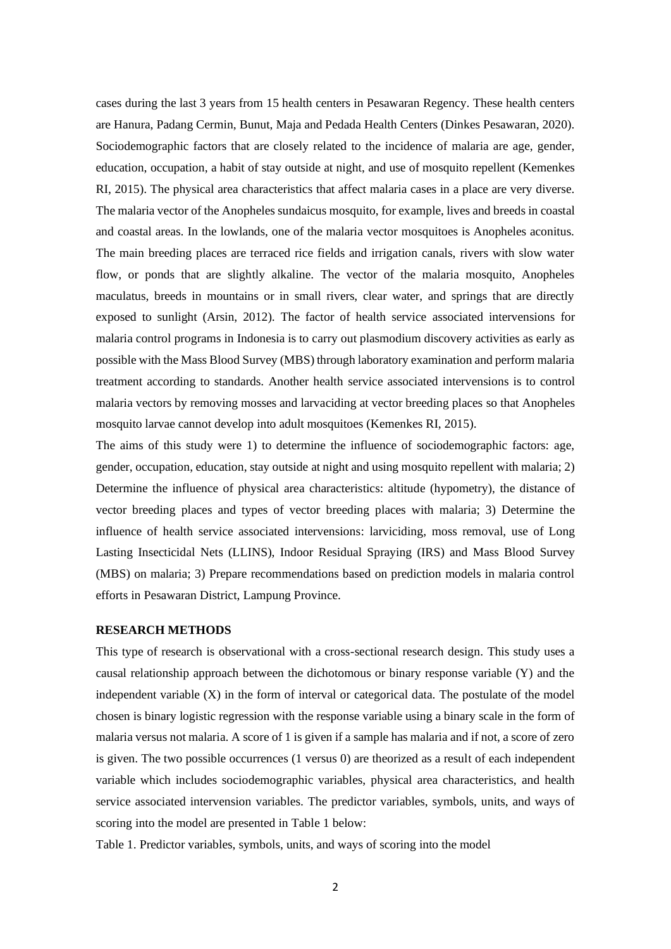cases during the last 3 years from 15 health centers in Pesawaran Regency. These health centers are Hanura, Padang Cermin, Bunut, Maja and Pedada Health Centers (Dinkes Pesawaran, 2020). Sociodemographic factors that are closely related to the incidence of malaria are age, gender, education, occupation, a habit of stay outside at night, and use of mosquito repellent (Kemenkes RI, 2015). The physical area characteristics that affect malaria cases in a place are very diverse. The malaria vector of the Anopheles sundaicus mosquito, for example, lives and breeds in coastal and coastal areas. In the lowlands, one of the malaria vector mosquitoes is Anopheles aconitus. The main breeding places are terraced rice fields and irrigation canals, rivers with slow water flow, or ponds that are slightly alkaline. The vector of the malaria mosquito, Anopheles maculatus, breeds in mountains or in small rivers, clear water, and springs that are directly exposed to sunlight (Arsin, 2012). The factor of health service associated intervensions for malaria control programs in Indonesia is to carry out plasmodium discovery activities as early as possible with the Mass Blood Survey (MBS) through laboratory examination and perform malaria treatment according to standards. Another health service associated intervensions is to control malaria vectors by removing mosses and larvaciding at vector breeding places so that Anopheles mosquito larvae cannot develop into adult mosquitoes (Kemenkes RI, 2015).

The aims of this study were 1) to determine the influence of sociodemographic factors: age, gender, occupation, education, stay outside at night and using mosquito repellent with malaria; 2) Determine the influence of physical area characteristics: altitude (hypometry), the distance of vector breeding places and types of vector breeding places with malaria; 3) Determine the influence of health service associated intervensions: larviciding, moss removal, use of Long Lasting Insecticidal Nets (LLINS), Indoor Residual Spraying (IRS) and Mass Blood Survey (MBS) on malaria; 3) Prepare recommendations based on prediction models in malaria control efforts in Pesawaran District, Lampung Province.

# **RESEARCH METHODS**

This type of research is observational with a cross-sectional research design. This study uses a causal relationship approach between the dichotomous or binary response variable (Y) and the independent variable (X) in the form of interval or categorical data. The postulate of the model chosen is binary logistic regression with the response variable using a binary scale in the form of malaria versus not malaria. A score of 1 is given if a sample has malaria and if not, a score of zero is given. The two possible occurrences (1 versus 0) are theorized as a result of each independent variable which includes sociodemographic variables, physical area characteristics, and health service associated intervension variables. The predictor variables, symbols, units, and ways of scoring into the model are presented in Table 1 below:

Table 1. Predictor variables, symbols, units, and ways of scoring into the model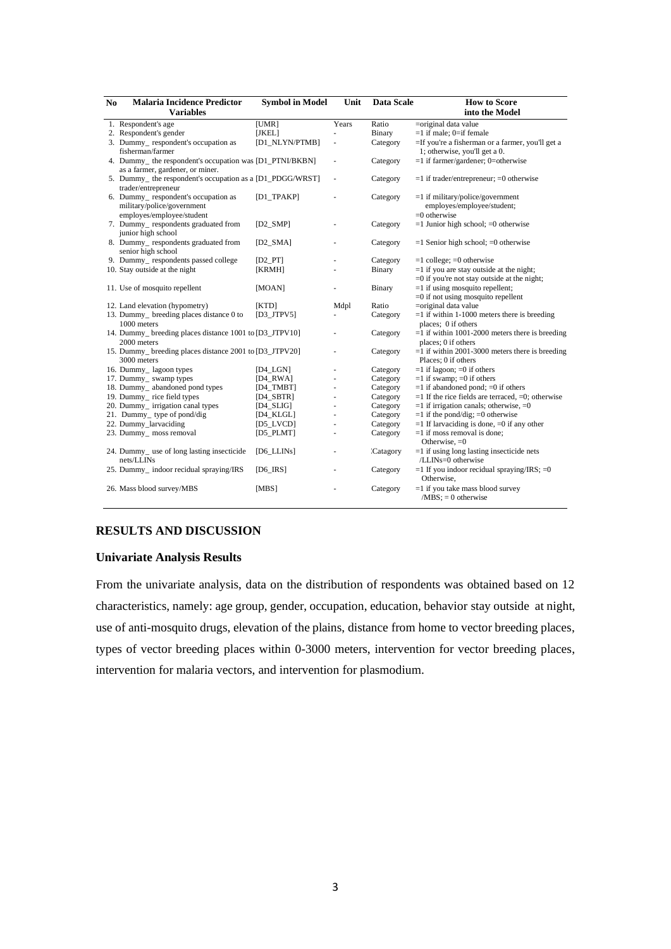| N <sub>0</sub> | <b>Malaria Incidence Predictor</b>                        | <b>Symbol in Model</b> | Unit  | Data Scale      | <b>How to Score</b>                                    |
|----------------|-----------------------------------------------------------|------------------------|-------|-----------------|--------------------------------------------------------|
|                | <b>Variables</b>                                          |                        |       |                 | into the Model                                         |
|                | 1. Respondent's age                                       | [UMR]                  | Years | Ratio           | =original data value                                   |
|                | 2. Respondent's gender                                    | [JKEL]                 |       | Binary          | $=1$ if male; 0=if female                              |
|                | 3. Dummy_respondent's occupation as                       | [D1_NLYN/PTMB]         | ä,    | Category        | =If you're a fisherman or a farmer, you'll get a       |
|                | fisherman/farmer                                          |                        |       |                 | 1; otherwise, you'll get a 0.                          |
|                | 4. Dummy_ the respondent's occupation was [D1_PTNI/BKBN]  |                        | ä,    | Category        | $=1$ if farmer/gardener; 0=otherwise                   |
|                | as a farmer, gardener, or miner.                          |                        |       |                 |                                                        |
|                | 5. Dummy_ the respondent's occupation as a [D1_PDGG/WRST] |                        | ä,    | Category        | $=1$ if trader/entrepreneur; $=0$ otherwise            |
|                | trader/entrepreneur                                       |                        |       |                 |                                                        |
|                | 6. Dummy_respondent's occupation as                       | $[D1_TPAKP]$           |       | Category        | $=1$ if military/police/government                     |
|                | military/police/government                                |                        |       |                 | employes/employee/student;                             |
|                | employes/employee/student                                 |                        |       |                 | $=0$ otherwise                                         |
|                | 7. Dummy_respondents graduated from                       | $[D2_SMP]$             |       | Category        | $=1$ Junior high school; $=0$ otherwise                |
|                | junior high school                                        |                        |       |                 |                                                        |
|                | 8. Dummy_respondents graduated from                       | $[D2_SMA]$             |       | Category        | $=1$ Senior high school; $=0$ otherwise                |
|                | senior high school                                        |                        |       |                 |                                                        |
|                | 9. Dummy_respondents passed college                       | $[D2_PTT]$             |       | Category        | $=1$ college; $=0$ otherwise                           |
|                | 10. Stay outside at the night                             | [KRMH]                 |       | Binary          | $=1$ if you are stay outside at the night;             |
|                |                                                           |                        |       |                 | $=0$ if you're not stay outside at the night;          |
|                | 11. Use of mosquito repellent                             | [MOAN]                 |       | Binary          | $=1$ if using mosquito repellent;                      |
|                |                                                           |                        |       |                 | $=0$ if not using mosquito repellent                   |
|                | 12. Land elevation (hypometry)                            | [KTD]                  | Mdpl  | Ratio           | $=$ original data value                                |
|                | 13. Dummy_ breeding places distance 0 to                  | $[D3_JTPV5]$           |       | Category        | $=1$ if within 1-1000 meters there is breeding         |
|                | 1000 meters                                               |                        |       |                 | places; 0 if others                                    |
|                | 14. Dummy_ breeding places distance 1001 to [D3_JTPV10]   |                        |       | Category        | $=1$ if within 1001-2000 meters there is breeding      |
|                | 2000 meters                                               |                        |       |                 | places; 0 if others                                    |
|                | 15. Dummy_ breeding places distance 2001 to [D3_JTPV20]   |                        |       | Category        | $=$ 1 if within 2001-3000 meters there is breeding     |
|                | 3000 meters                                               |                        |       |                 | Places: 0 if others                                    |
|                | 16. Dummy_lagoon types                                    | $[D4_LGN]$             |       | Category        | $=1$ if lagoon; $=0$ if others                         |
|                | 17. Dummy_ swamp types                                    | $[D4_RWA]$             |       | Category        | $=1$ if swamp; $=0$ if others                          |
|                | 18. Dummy_ abandoned pond types                           | $[D4_TMBT]$            |       | Category        | $=1$ if abandoned pond; $=0$ if others                 |
|                | 19. Dummy_rice field types                                | $[D4_SBTR]$            |       | Category        | $=1$ If the rice fields are terraced, $=0$ ; otherwise |
|                | 20. Dummy_ irrigation canal types                         | $[D4_SLI]$             |       | Category        | $=1$ if irrigation canals; otherwise, $=0$             |
|                | 21. Dummy_type of pond/dig                                | [D4 KLGL]              |       | Category        | $=1$ if the pond/dig; $=0$ otherwise                   |
|                | 22. Dummy_larvaciding                                     | $[D5_L VCD]$           |       | Category        | $=1$ If larvaciding is done, $=0$ if any other         |
|                | 23. Dummy_ moss removal                                   | $[D5_PLMT]$            |       | Category        | $=1$ if moss removal is done;<br>Otherwise, $=0$       |
|                | 24. Dummy_ use of long lasting insecticide                | $[D6_LLLINs]$          |       | <b>Catagory</b> | $=1$ if using long lasting insecticide nets            |
|                | nets/LLINs                                                |                        |       |                 | /LLINs=0 otherwise                                     |
|                | 25. Dummy_ indoor recidual spraying/IRS                   | $[D6]$ $[RS]$          |       | Category        | $=1$ If you indoor recidual spraying/IRS; $=0$         |
|                |                                                           |                        |       |                 | Otherwise.                                             |
|                | 26. Mass blood survey/MBS                                 | [MBS]                  |       |                 | $=1$ if you take mass blood survey                     |
|                |                                                           |                        |       | Category        | $/MBS$ ; = 0 otherwise                                 |

# **RESULTS AND DISCUSSION**

# **Univariate Analysis Results**

From the univariate analysis, data on the distribution of respondents was obtained based on 12 characteristics, namely: age group, gender, occupation, education, behavior stay outside at night, use of anti-mosquito drugs, elevation of the plains, distance from home to vector breeding places, types of vector breeding places within 0-3000 meters, intervention for vector breeding places, intervention for malaria vectors, and intervention for plasmodium.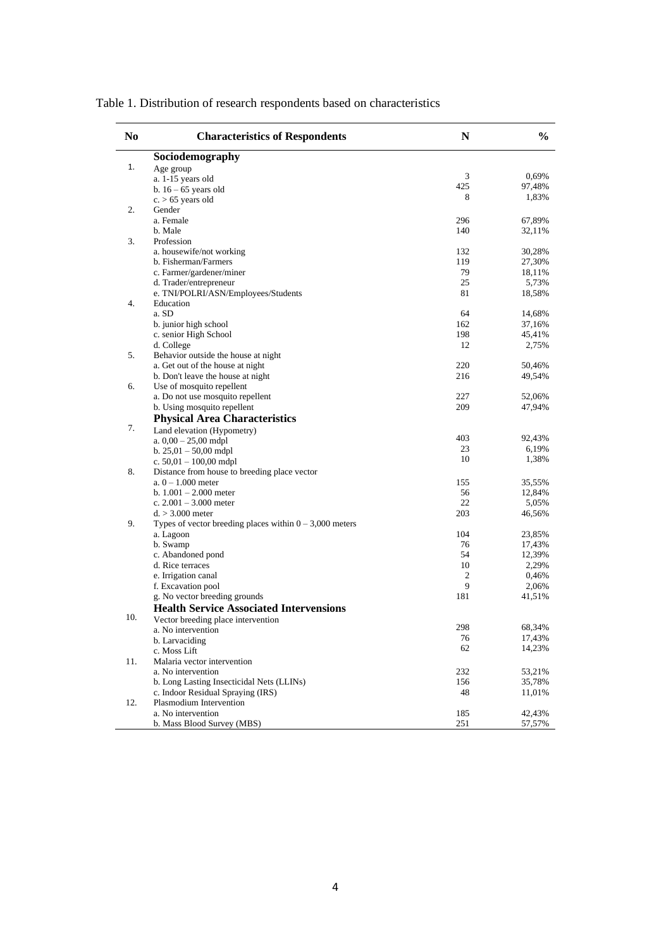| No  | <b>Characteristics of Respondents</b>                                   | N                                                                                                                                                                                                                           | $\frac{0}{0}$ |
|-----|-------------------------------------------------------------------------|-----------------------------------------------------------------------------------------------------------------------------------------------------------------------------------------------------------------------------|---------------|
|     | Sociodemography                                                         |                                                                                                                                                                                                                             |               |
| 1.  | Age group                                                               |                                                                                                                                                                                                                             |               |
|     | a. 1-15 years old                                                       |                                                                                                                                                                                                                             | 0,69%         |
|     | b. $16 - 65$ years old                                                  |                                                                                                                                                                                                                             | 97,48%        |
|     | $c. > 65$ years old                                                     |                                                                                                                                                                                                                             | 1,83%         |
| 2.  | Gender                                                                  |                                                                                                                                                                                                                             |               |
|     | a. Female                                                               | 296                                                                                                                                                                                                                         | 67,89%        |
|     | b. Male                                                                 | 3<br>425<br>8<br>140<br>132<br>119<br>79<br>25<br>81<br>64<br>162<br>198<br>12<br>220<br>216<br>227<br>209<br>403<br>23<br>10<br>155<br>56<br>22<br>203<br>104<br>76<br>54<br>10<br>2<br>9<br>181<br>298<br>76<br>62<br>232 | 32,11%        |
| 3.  | Profession                                                              |                                                                                                                                                                                                                             |               |
|     | a. housewife/not working                                                |                                                                                                                                                                                                                             | 30,28%        |
|     | b. Fisherman/Farmers                                                    |                                                                                                                                                                                                                             | 27,30%        |
|     | c. Farmer/gardener/miner                                                |                                                                                                                                                                                                                             | 18,11%        |
|     | d. Trader/entrepreneur                                                  |                                                                                                                                                                                                                             | 5,73%         |
|     | e. TNI/POLRI/ASN/Employees/Students                                     |                                                                                                                                                                                                                             | 18,58%        |
| 4.  | Education                                                               |                                                                                                                                                                                                                             |               |
|     | a. SD                                                                   |                                                                                                                                                                                                                             | 14,68%        |
|     | b. junior high school                                                   |                                                                                                                                                                                                                             | 37,16%        |
|     | c. senior High School                                                   |                                                                                                                                                                                                                             | 45,41%        |
|     | d. College                                                              |                                                                                                                                                                                                                             | 2,75%         |
| 5.  | Behavior outside the house at night<br>a. Get out of the house at night |                                                                                                                                                                                                                             |               |
|     |                                                                         |                                                                                                                                                                                                                             | 50,46%        |
| 6.  | b. Don't leave the house at night<br>Use of mosquito repellent          |                                                                                                                                                                                                                             | 49,54%        |
|     | a. Do not use mosquito repellent                                        |                                                                                                                                                                                                                             | 52,06%        |
|     | b. Using mosquito repellent                                             |                                                                                                                                                                                                                             | 47,94%        |
|     |                                                                         |                                                                                                                                                                                                                             |               |
| 7.  | <b>Physical Area Characteristics</b>                                    |                                                                                                                                                                                                                             |               |
|     | Land elevation (Hypometry)                                              |                                                                                                                                                                                                                             | 92,43%        |
|     | a. $0.00 - 25.00$ mdpl<br>b. $25,01 - 50,00$ mdpl                       |                                                                                                                                                                                                                             | 6,19%         |
|     | c. $50,01 - 100,00$ mdpl                                                |                                                                                                                                                                                                                             | 1,38%         |
| 8.  | Distance from house to breeding place vector                            |                                                                                                                                                                                                                             |               |
|     | a. $0 - 1.000$ meter                                                    |                                                                                                                                                                                                                             | 35,55%        |
|     | b. $1.001 - 2.000$ meter                                                |                                                                                                                                                                                                                             | 12,84%        |
|     | c. $2.001 - 3.000$ meter                                                |                                                                                                                                                                                                                             | 5,05%         |
|     | $d. > 3.000$ meter                                                      |                                                                                                                                                                                                                             | 46,56%        |
| 9.  | Types of vector breeding places within $0 - 3,000$ meters               |                                                                                                                                                                                                                             |               |
|     | a. Lagoon                                                               |                                                                                                                                                                                                                             | 23,85%        |
|     | b. Swamp                                                                |                                                                                                                                                                                                                             | 17,43%        |
|     | c. Abandoned pond                                                       |                                                                                                                                                                                                                             | 12,39%        |
|     | d. Rice terraces                                                        |                                                                                                                                                                                                                             | 2,29%         |
|     | e. Irrigation canal                                                     |                                                                                                                                                                                                                             | 0,46%         |
|     | f. Excavation pool                                                      |                                                                                                                                                                                                                             | 2,06%         |
|     | g. No vector breeding grounds                                           |                                                                                                                                                                                                                             | 41,51%        |
|     | <b>Health Service Associated Intervensions</b>                          |                                                                                                                                                                                                                             |               |
| 10. | Vector breeding place intervention                                      |                                                                                                                                                                                                                             |               |
|     | a. No intervention                                                      |                                                                                                                                                                                                                             | 68,34%        |
|     | b. Larvaciding                                                          |                                                                                                                                                                                                                             | 17,43%        |
|     | c. Moss Lift                                                            |                                                                                                                                                                                                                             | 14,23%        |
| 11. | Malaria vector intervention                                             |                                                                                                                                                                                                                             |               |
|     | a. No intervention                                                      |                                                                                                                                                                                                                             | 53,21%        |
|     | b. Long Lasting Insecticidal Nets (LLINs)                               | 156                                                                                                                                                                                                                         | 35,78%        |
|     | c. Indoor Residual Spraying (IRS)                                       | 48                                                                                                                                                                                                                          | 11,01%        |
| 12. | Plasmodium Intervention                                                 |                                                                                                                                                                                                                             |               |
|     | a. No intervention                                                      | 185                                                                                                                                                                                                                         | 42,43%        |
|     | b. Mass Blood Survey (MBS)                                              | 251                                                                                                                                                                                                                         | 57,57%        |

Table 1. Distribution of research respondents based on characteristics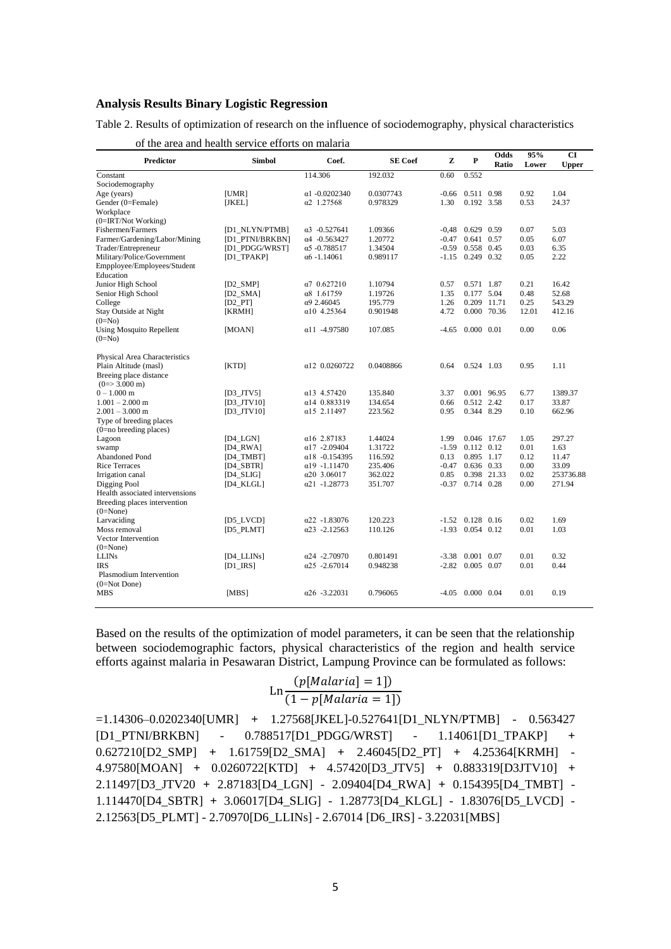## **Analysis Results Binary Logistic Regression**

Table 2. Results of optimization of research on the influence of sociodemography, physical characteristics

| Predictor                                                                            | Simbol                       | Coef.                 | <b>SE</b> Coef | z       | P                  | Odds<br>Ratio | 95%<br>Lower | <b>CI</b><br><b>Upper</b> |
|--------------------------------------------------------------------------------------|------------------------------|-----------------------|----------------|---------|--------------------|---------------|--------------|---------------------------|
| Constant                                                                             |                              | 114.306               | 192.032        | 0.60    | 0.552              |               |              |                           |
| Sociodemography                                                                      |                              |                       |                |         |                    |               |              |                           |
| Age (years)                                                                          | [UMR]                        | $\alpha$ 1 -0.0202340 | 0.0307743      | $-0.66$ | 0.511 0.98         |               | 0.92         | 1.04                      |
| Gender (0=Female)                                                                    | [ <b>JKEL</b> ] <sub>2</sub> | $\alpha$ 2 1.27568    | 0.978329       | 1.30    | 0.192 3.58         |               | 0.53         | 24.37                     |
| Workplace                                                                            |                              |                       |                |         |                    |               |              |                           |
| (0=IRT/Not Working)                                                                  |                              |                       |                |         |                    |               |              |                           |
| Fishermen/Farmers                                                                    | [D1_NLYN/PTMB]               | $\alpha$ 3 -0.527641  | 1.09366        | $-0.48$ | $0.629$ 0.59       |               | 0.07         | 5.03                      |
| Farmer/Gardening/Labor/Mining                                                        | [D1 PTNI/BRKBN]              | $\alpha$ 4 -0.563427  | 1.20772        | $-0.47$ | 0.641 0.57         |               | 0.05         | 6.07                      |
| Trader/Entrepreneur                                                                  | [D1 PDGG/WRST]               | $\alpha$ 5 -0.788517  | 1.34504        | $-0.59$ | 0.558 0.45         |               | 0.03         | 6.35                      |
| Military/Police/Government<br>Empployee/Employees/Student<br>Education               | [D1_TPAKP]                   | $\alpha$ 6 -1.14061   | 0.989117       | $-1.15$ | 0.249 0.32         |               | 0.05         | 2.22                      |
| Junior High School                                                                   | $[D2_SMP]$                   | $\alpha$ 7 0.627210   | 1.10794        | 0.57    | 0.571 1.87         |               | 0.21         | 16.42                     |
| Senior High School                                                                   | $[D2_SMA]$                   | $\alpha$ 8 1.61759    | 1.19726        | 1.35    | 0.177 5.04         |               | 0.48         | 52.68                     |
| College                                                                              | $[D2$ <sub>-PT</sub>         | $\alpha$ 9 2.46045    | 195.779        | 1.26    | 0.209              | 11.71         | 0.25         | 543.29                    |
| Stay Outside at Night                                                                |                              | $\alpha$ 10 4.25364   | 0.901948       | 4.72    |                    | 0.000 70.36   | 12.01        | 412.16                    |
| $(0=NO)$                                                                             | [KRMH]                       |                       |                |         |                    |               |              |                           |
| <b>Using Mosquito Repellent</b><br>$(0=N0)$                                          | [MOAN]                       | $\alpha$ 11 -4.97580  | 107.085        | $-4.65$ | 0.000 0.01         |               | 0.00         | 0.06                      |
| Physical Area Characteristics                                                        |                              |                       |                |         |                    |               |              |                           |
| Plain Altitude (masl)<br>Breeing place distance<br>$(0 \Rightarrow 3.000 \text{ m})$ | [KTD]                        | $\alpha$ 12 0.0260722 | 0.0408866      | 0.64    | 0.524 1.03         |               | 0.95         | 1.11                      |
| $0 - 1.000$ m                                                                        | [D3 JTV5]                    | $\alpha$ 13 4.57420   | 135.840        | 3.37    | 0.001 96.95        |               | 6.77         | 1389.37                   |
| $1.001 - 2.000$ m                                                                    | $[D3_JTV10]$                 | α14 0.883319          | 134.654        | 0.66    | 0.512 2.42         |               | 0.17         | 33.87                     |
| $2.001 - 3.000$ m                                                                    | [D3 JTV10]                   | $\alpha$ 15 2.11497   | 223.562        | 0.95    | 0.344 8.29         |               | 0.10         | 662.96                    |
| Type of breeding places                                                              |                              |                       |                |         |                    |               |              |                           |
| $(0=$ no breeding places)                                                            |                              |                       |                |         |                    |               |              |                           |
| Lagoon                                                                               | [D4 LGN]                     | $\alpha$ 16 2.87183   | 1.44024        | 1.99    | 0.046 17.67        |               | 1.05         | 297.27                    |
| swamp                                                                                | $[D4_RWA]$                   | $\alpha$ 17 -2.09404  | 1.31722        | $-1.59$ | $0.112$ $0.12$     |               | 0.01         | 1.63                      |
| <b>Abandoned Pond</b>                                                                | $[D4_TMBT]$                  | $\alpha$ 18 -0.154395 | 116.592        | 0.13    | 0.895 1.17         |               | 0.12         | 11.47                     |
| <b>Rice Terraces</b>                                                                 | [D4 SBTR]                    | $\alpha$ 19 -1.11470  | 235.406        | $-0.47$ | $0.636$ 0.33       |               | 0.00         | 33.09                     |
| Irrigation canal                                                                     | $[D4_SLI]$                   | $\alpha$ 20 3.06017   | 362.022        | 0.85    | 0.398 21.33        |               | 0.02         | 253736.88                 |
| Digging Pool                                                                         | $[D4_KL]$                    | $\alpha$ 21 -1.28773  | 351.707        | $-0.37$ | 0.714 0.28         |               | 0.00         | 271.94                    |
| Health associated intervensions                                                      |                              |                       |                |         |                    |               |              |                           |
| Breeding places intervention<br>$(0=None)$                                           |                              |                       |                |         |                    |               |              |                           |
| Larvaciding                                                                          | $[D5_L VCD]$                 | $\alpha$ 22 -1.83076  | 120.223        |         | $-1.52$ 0.128 0.16 |               | 0.02         | 1.69                      |
| Moss removal                                                                         | $[D5_PLMT]$                  | $\alpha$ 23 -2.12563  | 110.126        | $-1.93$ | $0.054$ 0.12       |               | 0.01         | 1.03                      |
| Vector Intervention                                                                  |                              |                       |                |         |                    |               |              |                           |
| $(0=None)$                                                                           |                              |                       |                |         |                    |               |              |                           |
| <b>LLINs</b>                                                                         | [D4_LLINs]                   | $\alpha$ 24 -2.70970  | 0.801491       | $-3.38$ | $0.001$ 0.07       |               | 0.01         | 0.32                      |
| <b>IRS</b>                                                                           | $[D1$ <sub>_</sub> $IRS$ ]   | $\alpha$ 25 -2.67014  | 0.948238       | $-2.82$ | $0.005$ 0.07       |               | 0.01         | 0.44                      |
| Plasmodium Intervention                                                              |                              |                       |                |         |                    |               |              |                           |
| $(0=Not$ Done)                                                                       |                              |                       |                |         |                    |               |              |                           |
| <b>MBS</b>                                                                           | [MBS]                        | $\alpha$ 26 -3.22031  | 0.796065       |         | $-4.05$ 0.000 0.04 |               | 0.01         | 0.19                      |

of the area and health service efforts on malaria

Based on the results of the optimization of model parameters, it can be seen that the relationship between sociodemographic factors, physical characteristics of the region and health service efforts against malaria in Pesawaran District, Lampung Province can be formulated as follows:

$$
\text{Ln}\frac{(p[Malaria] = 1])}{(1 - p[Malaria = 1])}
$$

=1.14306–0.0202340[UMR] **+** 1.27568[JKEL]-0.527641[D1\_NLYN/PTMB] - 0.563427 [D1\_PTNI/BRKBN] - 0.788517[D1\_PDGG/WRST] - 1.14061[D1\_TPAKP] **+**  0.627210[D2\_SMP] **+** 1.61759[D2\_SMA] **+** 2.46045[D2\_PT] **+** 4.25364[KRMH] - 4.97580[MOAN] **+** 0.0260722[KTD] **+** 4.57420[D3\_JTV5] **+** 0.883319[D3JTV10] **+**  2.11497[D3\_JTV20 **+** 2.87183[D4\_LGN] - 2.09404[D4\_RWA] **+** 0.154395[D4\_TMBT] - 1.114470[D4\_SBTR] **+** 3.06017[D4\_SLIG] - 1.28773[D4\_KLGL] - 1.83076[D5\_LVCD] - 2.12563[D5\_PLMT] - 2.70970[D6\_LLINs] - 2.67014 [D6\_IRS] - 3.22031[MBS]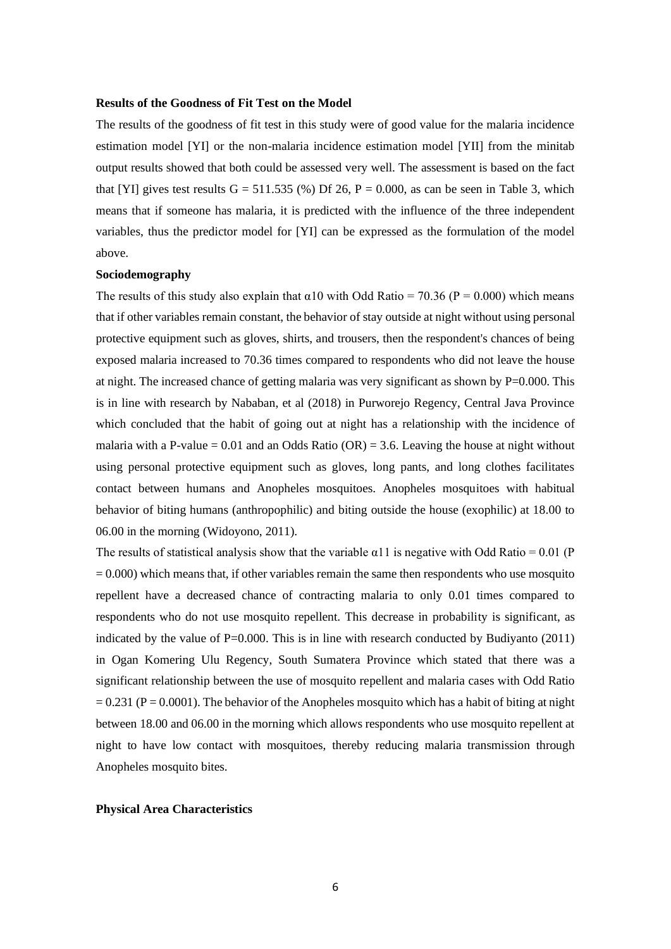#### **Results of the Goodness of Fit Test on the Model**

The results of the goodness of fit test in this study were of good value for the malaria incidence estimation model [YI] or the non-malaria incidence estimation model [YII] from the minitab output results showed that both could be assessed very well. The assessment is based on the fact that [YI] gives test results  $G = 511.535$  (%) Df 26, P = 0.000, as can be seen in Table 3, which means that if someone has malaria, it is predicted with the influence of the three independent variables, thus the predictor model for [YI] can be expressed as the formulation of the model above.

# **Sociodemography**

The results of this study also explain that  $\alpha$ 10 with Odd Ratio = 70.36 (P = 0.000) which means that if other variables remain constant, the behavior of stay outside at night without using personal protective equipment such as gloves, shirts, and trousers, then the respondent's chances of being exposed malaria increased to 70.36 times compared to respondents who did not leave the house at night. The increased chance of getting malaria was very significant as shown by  $P=0.000$ . This is in line with research by Nababan, et al (2018) in Purworejo Regency, Central Java Province which concluded that the habit of going out at night has a relationship with the incidence of malaria with a P-value = 0.01 and an Odds Ratio (OR) = 3.6. Leaving the house at night without using personal protective equipment such as gloves, long pants, and long clothes facilitates contact between humans and Anopheles mosquitoes. Anopheles mosquitoes with habitual behavior of biting humans (anthropophilic) and biting outside the house (exophilic) at 18.00 to 06.00 in the morning (Widoyono, 2011).

The results of statistical analysis show that the variable  $\alpha$ 11 is negative with Odd Ratio = 0.01 (P)  $= 0.000$ ) which means that, if other variables remain the same then respondents who use mosquito repellent have a decreased chance of contracting malaria to only 0.01 times compared to respondents who do not use mosquito repellent. This decrease in probability is significant, as indicated by the value of  $P=0.000$ . This is in line with research conducted by Budiyanto (2011) in Ogan Komering Ulu Regency, South Sumatera Province which stated that there was a significant relationship between the use of mosquito repellent and malaria cases with Odd Ratio  $= 0.231$  (P  $= 0.0001$ ). The behavior of the Anopheles mosquito which has a habit of biting at night between 18.00 and 06.00 in the morning which allows respondents who use mosquito repellent at night to have low contact with mosquitoes, thereby reducing malaria transmission through Anopheles mosquito bites.

#### **Physical Area Characteristics**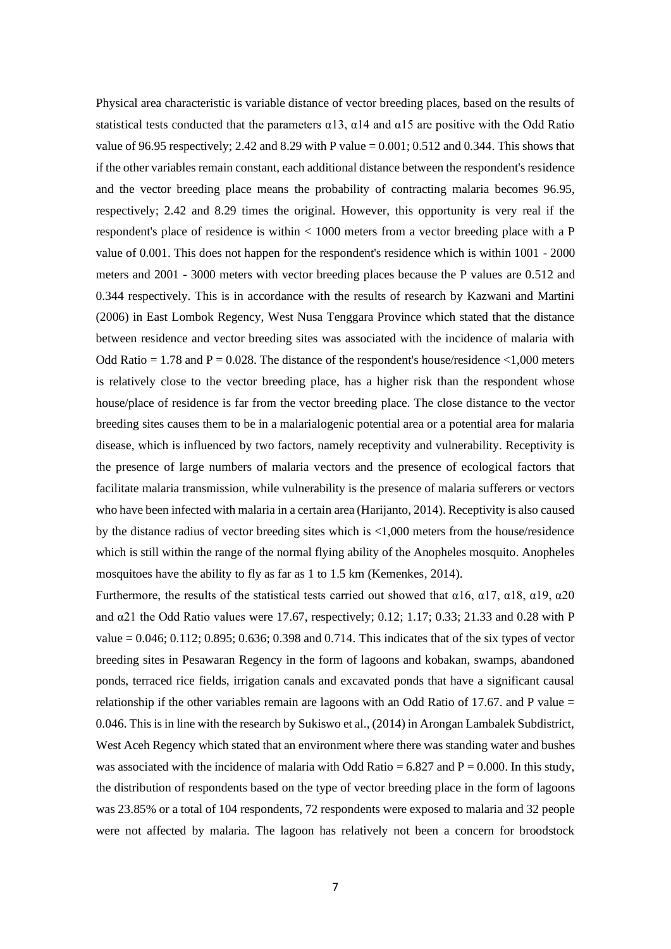Physical area characteristic is variable distance of vector breeding places, based on the results of statistical tests conducted that the parameters  $\alpha$ 13,  $\alpha$ 14 and  $\alpha$ 15 are positive with the Odd Ratio value of 96.95 respectively; 2.42 and 8.29 with P value  $= 0.001$ ; 0.512 and 0.344. This shows that if the other variables remain constant, each additional distance between the respondent's residence and the vector breeding place means the probability of contracting malaria becomes 96.95, respectively; 2.42 and 8.29 times the original. However, this opportunity is very real if the respondent's place of residence is within < 1000 meters from a vector breeding place with a P value of 0.001. This does not happen for the respondent's residence which is within 1001 - 2000 meters and 2001 - 3000 meters with vector breeding places because the P values are 0.512 and 0.344 respectively. This is in accordance with the results of research by Kazwani and Martini (2006) in East Lombok Regency, West Nusa Tenggara Province which stated that the distance between residence and vector breeding sites was associated with the incidence of malaria with Odd Ratio  $= 1.78$  and  $P = 0.028$ . The distance of the respondent's house/residence  $\leq 1.000$  meters is relatively close to the vector breeding place, has a higher risk than the respondent whose house/place of residence is far from the vector breeding place. The close distance to the vector breeding sites causes them to be in a malarialogenic potential area or a potential area for malaria disease, which is influenced by two factors, namely receptivity and vulnerability. Receptivity is the presence of large numbers of malaria vectors and the presence of ecological factors that facilitate malaria transmission, while vulnerability is the presence of malaria sufferers or vectors who have been infected with malaria in a certain area (Harijanto, 2014). Receptivity is also caused by the distance radius of vector breeding sites which is <1,000 meters from the house/residence which is still within the range of the normal flying ability of the Anopheles mosquito. Anopheles mosquitoes have the ability to fly as far as 1 to 1.5 km (Kemenkes, 2014).

Furthermore, the results of the statistical tests carried out showed that  $\alpha$ 16,  $\alpha$ 17,  $\alpha$ 18,  $\alpha$ 19,  $\alpha$ 20 and α21 the Odd Ratio values were 17.67, respectively; 0.12; 1.17; 0.33; 21.33 and 0.28 with P value  $= 0.046$ ; 0.112; 0.895; 0.636; 0.398 and 0.714. This indicates that of the six types of vector breeding sites in Pesawaran Regency in the form of lagoons and kobakan, swamps, abandoned ponds, terraced rice fields, irrigation canals and excavated ponds that have a significant causal relationship if the other variables remain are lagoons with an Odd Ratio of 17.67. and P value  $=$ 0.046. This is in line with the research by Sukiswo et al., (2014) in Arongan Lambalek Subdistrict, West Aceh Regency which stated that an environment where there was standing water and bushes was associated with the incidence of malaria with Odd Ratio =  $6.827$  and  $P = 0.000$ . In this study, the distribution of respondents based on the type of vector breeding place in the form of lagoons was 23.85% or a total of 104 respondents, 72 respondents were exposed to malaria and 32 people were not affected by malaria. The lagoon has relatively not been a concern for broodstock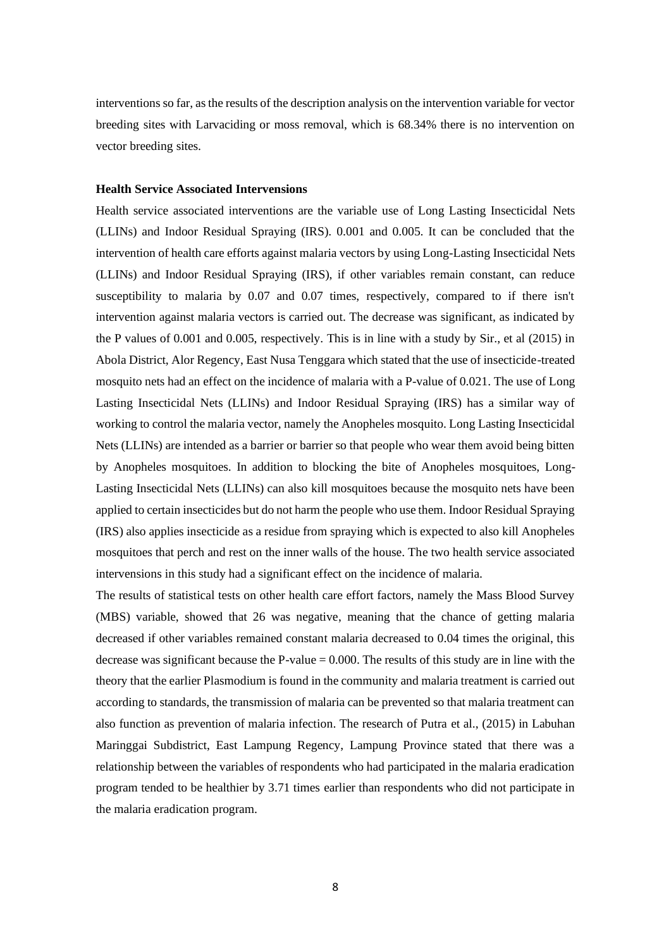interventions so far, as the results of the description analysis on the intervention variable for vector breeding sites with Larvaciding or moss removal, which is 68.34% there is no intervention on vector breeding sites.

#### **Health Service Associated Intervensions**

Health service associated interventions are the variable use of Long Lasting Insecticidal Nets (LLINs) and Indoor Residual Spraying (IRS). 0.001 and 0.005. It can be concluded that the intervention of health care efforts against malaria vectors by using Long-Lasting Insecticidal Nets (LLINs) and Indoor Residual Spraying (IRS), if other variables remain constant, can reduce susceptibility to malaria by 0.07 and 0.07 times, respectively, compared to if there isn't intervention against malaria vectors is carried out. The decrease was significant, as indicated by the P values of 0.001 and 0.005, respectively. This is in line with a study by Sir., et al (2015) in Abola District, Alor Regency, East Nusa Tenggara which stated that the use of insecticide-treated mosquito nets had an effect on the incidence of malaria with a P-value of 0.021. The use of Long Lasting Insecticidal Nets (LLINs) and Indoor Residual Spraying (IRS) has a similar way of working to control the malaria vector, namely the Anopheles mosquito. Long Lasting Insecticidal Nets (LLINs) are intended as a barrier or barrier so that people who wear them avoid being bitten by Anopheles mosquitoes. In addition to blocking the bite of Anopheles mosquitoes, Long-Lasting Insecticidal Nets (LLINs) can also kill mosquitoes because the mosquito nets have been applied to certain insecticides but do not harm the people who use them. Indoor Residual Spraying (IRS) also applies insecticide as a residue from spraying which is expected to also kill Anopheles mosquitoes that perch and rest on the inner walls of the house. The two health service associated intervensions in this study had a significant effect on the incidence of malaria.

The results of statistical tests on other health care effort factors, namely the Mass Blood Survey (MBS) variable, showed that 26 was negative, meaning that the chance of getting malaria decreased if other variables remained constant malaria decreased to 0.04 times the original, this decrease was significant because the P-value  $= 0.000$ . The results of this study are in line with the theory that the earlier Plasmodium is found in the community and malaria treatment is carried out according to standards, the transmission of malaria can be prevented so that malaria treatment can also function as prevention of malaria infection. The research of Putra et al., (2015) in Labuhan Maringgai Subdistrict, East Lampung Regency, Lampung Province stated that there was a relationship between the variables of respondents who had participated in the malaria eradication program tended to be healthier by 3.71 times earlier than respondents who did not participate in the malaria eradication program.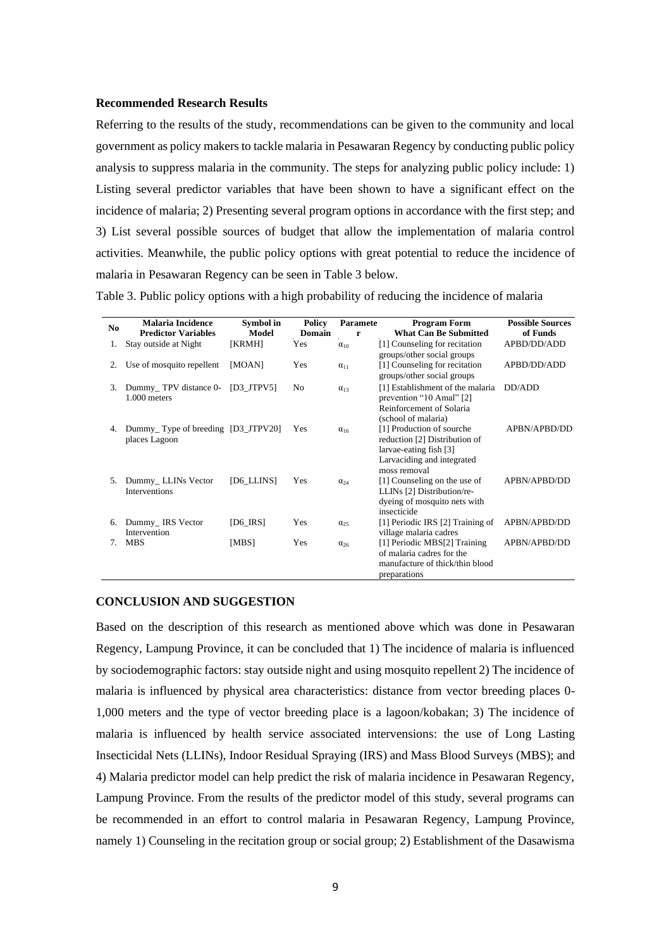## **Recommended Research Results**

Referring to the results of the study, recommendations can be given to the community and local government as policy makers to tackle malaria in Pesawaran Regency by conducting public policy analysis to suppress malaria in the community. The steps for analyzing public policy include: 1) Listing several predictor variables that have been shown to have a significant effect on the incidence of malaria; 2) Presenting several program options in accordance with the first step; and 3) List several possible sources of budget that allow the implementation of malaria control activities. Meanwhile, the public policy options with great potential to reduce the incidence of malaria in Pesawaran Regency can be seen in Table 3 below.

Table 3. Public policy options with a high probability of reducing the incidence of malaria

| No. | <b>Malaria Incidence</b><br><b>Predictor Variables</b> | Symbol in<br>Model | Policy<br>Domain | <b>Paramete</b><br>r | <b>Program Form</b><br><b>What Can Be Submitted</b>                                                                                | <b>Possible Sources</b><br>of Funds |
|-----|--------------------------------------------------------|--------------------|------------------|----------------------|------------------------------------------------------------------------------------------------------------------------------------|-------------------------------------|
| 1.  | Stay outside at Night                                  | [KRMH]             | Yes              | $\alpha_{10}$        | [1] Counseling for recitation<br>groups/other social groups                                                                        | APBD/DD/ADD                         |
| 2.  | Use of mosquito repellent                              | [MOAN]             | Yes              | $\alpha_{11}$        | [1] Counseling for recitation<br>groups/other social groups                                                                        | APBD/DD/ADD                         |
| 3.  | Dummy_TPV distance 0-<br>1.000 meters                  | $[D3_JTPV5]$       | N <sub>0</sub>   | $\alpha_{13}$        | [1] Establishment of the malaria<br>prevention "10 Amal" [2]<br>Reinforcement of Solaria<br>(school of malaria)                    | DD/ADD                              |
| 4.  | Dummy Type of breeding [D3_JTPV20]<br>places Lagoon    |                    | Yes              | $\alpha_{16}$        | [1] Production of sourche<br>reduction [2] Distribution of<br>larvae-eating fish [3]<br>Larvaciding and integrated<br>moss removal | APBN/APBD/DD                        |
| 5.  | Dummy_LLINs Vector<br><b>Interventions</b>             | [D6_LLINS]         | Yes              | $\alpha_{24}$        | [1] Counseling on the use of<br>LLINs [2] Distribution/re-<br>dyeing of mosquito nets with<br>insecticide                          | APBN/APBD/DD                        |
| 6.  | Dummy_IRS Vector<br>Intervention                       | $[D6$ IRS]         | Yes              | $\alpha_{25}$        | [1] Periodic IRS [2] Training of<br>village malaria cadres                                                                         | APBN/APBD/DD                        |
| 7.  | <b>MBS</b>                                             | [MBS]              | Yes              | $\alpha_{26}$        | [1] Periodic MBS[2] Training<br>of malaria cadres for the<br>manufacture of thick/thin blood<br>preparations                       | APBN/APBD/DD                        |

# **CONCLUSION AND SUGGESTION**

Based on the description of this research as mentioned above which was done in Pesawaran Regency, Lampung Province, it can be concluded that 1) The incidence of malaria is influenced by sociodemographic factors: stay outside night and using mosquito repellent 2) The incidence of malaria is influenced by physical area characteristics: distance from vector breeding places 0- 1,000 meters and the type of vector breeding place is a lagoon/kobakan; 3) The incidence of malaria is influenced by health service associated intervensions: the use of Long Lasting Insecticidal Nets (LLINs), Indoor Residual Spraying (IRS) and Mass Blood Surveys (MBS); and 4) Malaria predictor model can help predict the risk of malaria incidence in Pesawaran Regency, Lampung Province. From the results of the predictor model of this study, several programs can be recommended in an effort to control malaria in Pesawaran Regency, Lampung Province, namely 1) Counseling in the recitation group or social group; 2) Establishment of the Dasawisma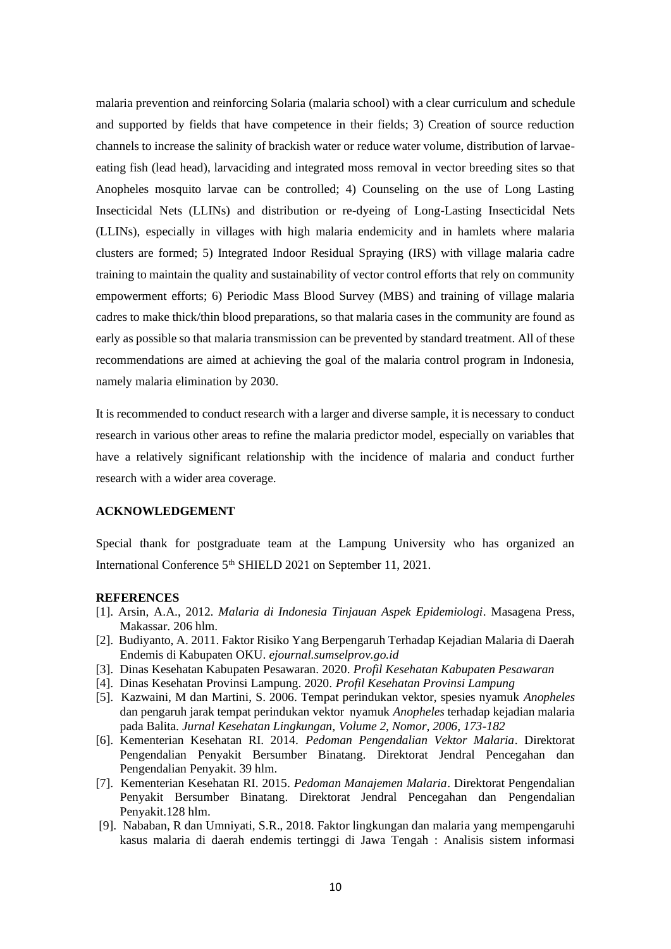malaria prevention and reinforcing Solaria (malaria school) with a clear curriculum and schedule and supported by fields that have competence in their fields; 3) Creation of source reduction channels to increase the salinity of brackish water or reduce water volume, distribution of larvaeeating fish (lead head), larvaciding and integrated moss removal in vector breeding sites so that Anopheles mosquito larvae can be controlled; 4) Counseling on the use of Long Lasting Insecticidal Nets (LLINs) and distribution or re-dyeing of Long-Lasting Insecticidal Nets (LLINs), especially in villages with high malaria endemicity and in hamlets where malaria clusters are formed; 5) Integrated Indoor Residual Spraying (IRS) with village malaria cadre training to maintain the quality and sustainability of vector control efforts that rely on community empowerment efforts; 6) Periodic Mass Blood Survey (MBS) and training of village malaria cadres to make thick/thin blood preparations, so that malaria cases in the community are found as early as possible so that malaria transmission can be prevented by standard treatment. All of these recommendations are aimed at achieving the goal of the malaria control program in Indonesia, namely malaria elimination by 2030.

It is recommended to conduct research with a larger and diverse sample, it is necessary to conduct research in various other areas to refine the malaria predictor model, especially on variables that have a relatively significant relationship with the incidence of malaria and conduct further research with a wider area coverage.

# **ACKNOWLEDGEMENT**

Special thank for postgraduate team at the Lampung University who has organized an International Conference 5<sup>th</sup> SHIELD 2021 on September 11, 2021.

# **REFERENCES**

- [1]. Arsin, A.A., 2012. *Malaria di Indonesia Tinjauan Aspek Epidemiologi*. Masagena Press, Makassar. 206 hlm.
- [2]. Budiyanto, A. 2011. Faktor Risiko Yang Berpengaruh Terhadap Kejadian Malaria di Daerah Endemis di Kabupaten OKU. *ejournal.sumselprov.go.id*
- [3]. Dinas Kesehatan Kabupaten Pesawaran. 2020. *Profil Kesehatan Kabupaten Pesawaran*
- [4]. Dinas Kesehatan Provinsi Lampung. 2020. *Profil Kesehatan Provinsi Lampung*
- [5]. Kazwaini, M dan Martini, S. 2006. Tempat perindukan vektor, spesies nyamuk *Anopheles* dan pengaruh jarak tempat perindukan vektor nyamuk *Anopheles* terhadap kejadian malaria pada Balita. *Jurnal Kesehatan Lingkungan, Volume 2, Nomor, 2006, 173-182*
- [6]. Kementerian Kesehatan RI. 2014. *Pedoman Pengendalian Vektor Malaria*. Direktorat Pengendalian Penyakit Bersumber Binatang. Direktorat Jendral Pencegahan dan Pengendalian Penyakit. 39 hlm.
- [7]. Kementerian Kesehatan RI. 2015. *Pedoman Manajemen Malaria*. Direktorat Pengendalian Penyakit Bersumber Binatang. Direktorat Jendral Pencegahan dan Pengendalian Penyakit.128 hlm.
- [9]. Nababan, R dan Umniyati, S.R., 2018. Faktor lingkungan dan malaria yang mempengaruhi kasus malaria di daerah endemis tertinggi di Jawa Tengah : Analisis sistem informasi